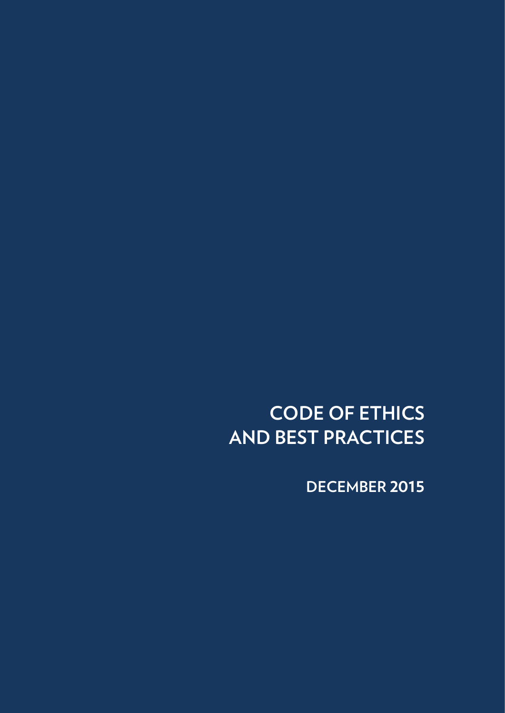**CODE OF ETHICS AND BEST PRACTICES**

**DECEMBER 2015**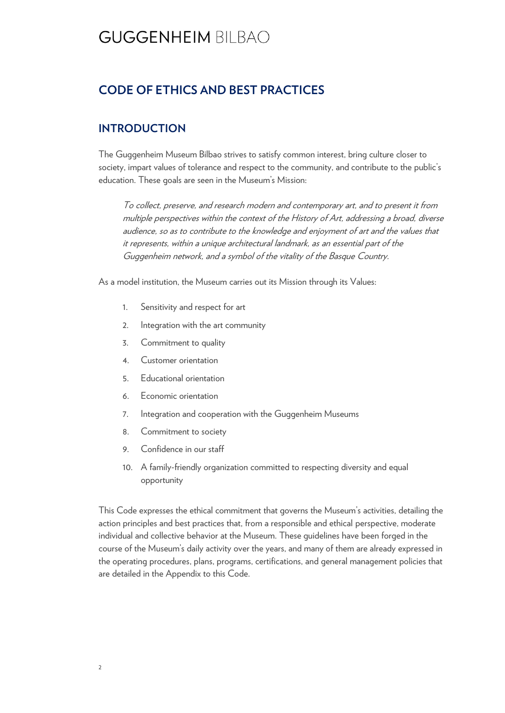### **CODE OF ETHICS AND BEST PRACTICES**

### **INTRODUCTION**

The Guggenheim Museum Bilbao strives to satisfy common interest, bring culture closer to society, impart values of tolerance and respect to the community, and contribute to the public's education. These goals are seen in the Museum's Mission:

To collect, preserve, and research modern and contemporary art, and to present it from multiple perspectives within the context of the History of Art, addressing a broad, diverse audience, so as to contribute to the knowledge and enjoyment of art and the values that it represents, within a unique architectural landmark, as an essential part of the Guggenheim network, and a symbol of the vitality of the Basque Country.

As a model institution, the Museum carries out its Mission through its Values:

- 1. Sensitivity and respect for art
- 2. Integration with the art community
- 3. Commitment to quality
- 4. Customer orientation
- 5. Educational orientation
- 6. Economic orientation
- 7. Integration and cooperation with the Guggenheim Museums
- 8. Commitment to society
- 9. Confidence in our staff
- 10. A family-friendly organization committed to respecting diversity and equal opportunity

This Code expresses the ethical commitment that governs the Museum's activities, detailing the action principles and best practices that, from a responsible and ethical perspective, moderate individual and collective behavior at the Museum. These guidelines have been forged in the course of the Museum's daily activity over the years, and many of them are already expressed in the operating procedures, plans, programs, certifications, and general management policies that are detailed in the Appendix to this Code.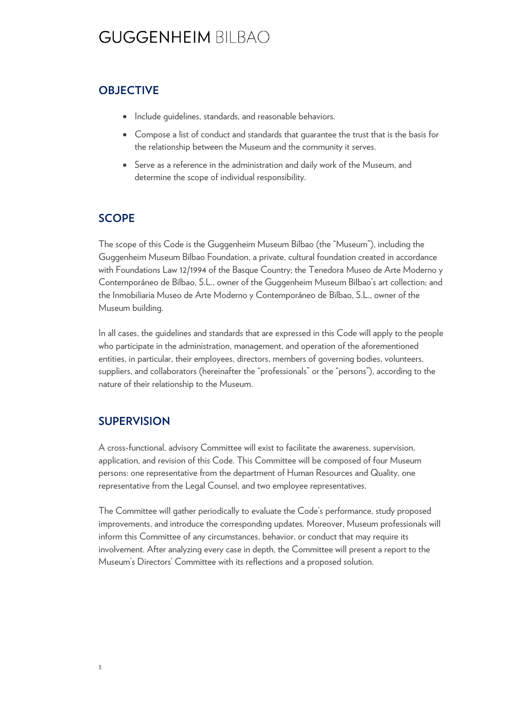### **OBJECTIVE**

- Include quidelines, standards, and reasonable behaviors.
- Compose a list of conduct and standards that guarantee the trust that is the basis for the relationship between the Museum and the community it serves.
- Serve as a reference in the administration and daily work of the Museum, and determine the scope of individual responsibility.

### **SCOPE**

The scope of this Code is the Guggenheim Museum Bilbao (the "Museum"), including the Guggenheim Museum Bilbao Foundation, a private, cultural foundation created in accordance with Foundations Law 12/1994 of the Basque Country; the Tenedora Museo de Arte Moderno y Contemporáneo de Bilbao, S.L., owner of the Guggenheim Museum Bilbao's art collection; and the Inmobiliaria Museo de Arte Moderno y Contemporáneo de Bilbao, S.L., owner of the Museum building.

In all cases, the guidelines and standards that are expressed in this Code will apply to the people who participate in the administration, management, and operation of the aforementioned entities, in particular, their employees, directors, members of governing bodies, volunteers, suppliers, and collaborators (hereinafter the "professionals" or the "persons"), according to the nature of their relationship to the Museum.

### **SUPERVISION**

A cross-functional, advisory Committee will exist to facilitate the awareness, supervision, application, and revision of this Code. This Committee will be composed of four Museum persons: one representative from the department of Human Resources and Quality, one representative from the Legal Counsel, and two employee representatives.

The Committee will gather periodically to evaluate the Code's performance, study proposed improvements, and introduce the corresponding updates. Moreover, Museum professionals will inform this Committee of any circumstances, behavior, or conduct that may require its involvement. After analyzing every case in depth, the Committee will present a report to the Museum's Directors' Committee with its reflections and a proposed solution.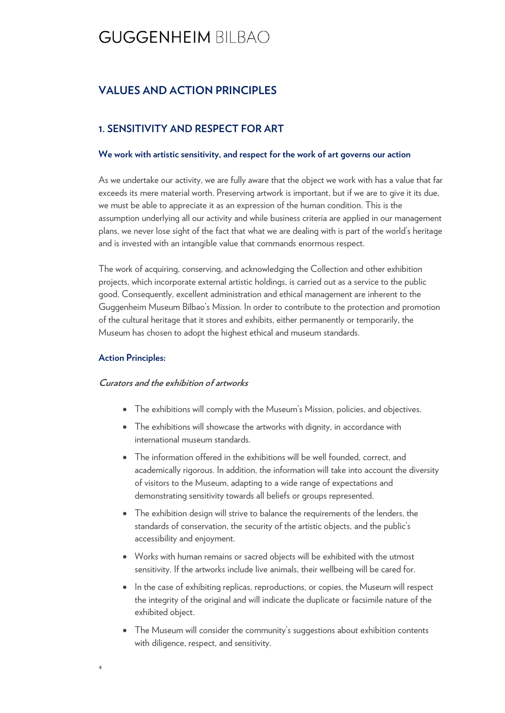### **VALUES AND ACTION PRINCIPLES**

### **1. SENSITIVITY AND RESPECT FOR ART**

#### **We work with artistic sensitivity, and respect for the work of art governs our action**

As we undertake our activity, we are fully aware that the object we work with has a value that far exceeds its mere material worth. Preserving artwork is important, but if we are to give it its due, we must be able to appreciate it as an expression of the human condition. This is the assumption underlying all our activity and while business criteria are applied in our management plans, we never lose sight of the fact that what we are dealing with is part of the world's heritage and is invested with an intangible value that commands enormous respect.

The work of acquiring, conserving, and acknowledging the Collection and other exhibition projects, which incorporate external artistic holdings, is carried out as a service to the public good. Consequently, excellent administration and ethical management are inherent to the Guggenheim Museum Bilbao's Mission. In order to contribute to the protection and promotion of the cultural heritage that it stores and exhibits, either permanently or temporarily, the Museum has chosen to adopt the highest ethical and museum standards.

#### **Action Principles:**

4

#### **Curators and the exhibition of artworks**

- The exhibitions will comply with the Museum's Mission, policies, and objectives.
- The exhibitions will showcase the artworks with dignity, in accordance with international museum standards.
- The information offered in the exhibitions will be well founded, correct, and academically rigorous. In addition, the information will take into account the diversity of visitors to the Museum, adapting to a wide range of expectations and demonstrating sensitivity towards all beliefs or groups represented.
- The exhibition design will strive to balance the requirements of the lenders, the standards of conservation, the security of the artistic objects, and the public's accessibility and enjoyment.
- Works with human remains or sacred objects will be exhibited with the utmost sensitivity. If the artworks include live animals, their wellbeing will be cared for.
- In the case of exhibiting replicas, reproductions, or copies, the Museum will respect the integrity of the original and will indicate the duplicate or facsimile nature of the exhibited object.
- The Museum will consider the community's suggestions about exhibition contents with diligence, respect, and sensitivity.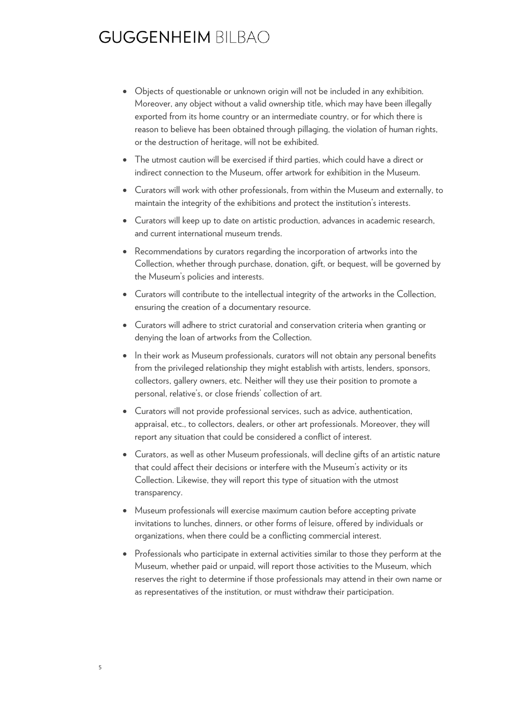- Objects of questionable or unknown origin will not be included in any exhibition. Moreover, any object without a valid ownership title, which may have been illegally exported from its home country or an intermediate country, or for which there is reason to believe has been obtained through pillaging, the violation of human rights, or the destruction of heritage, will not be exhibited.
- The utmost caution will be exercised if third parties, which could have a direct or indirect connection to the Museum, offer artwork for exhibition in the Museum.
- Curators will work with other professionals, from within the Museum and externally, to maintain the integrity of the exhibitions and protect the institution's interests.
- Curators will keep up to date on artistic production, advances in academic research, and current international museum trends.
- Recommendations by curators regarding the incorporation of artworks into the Collection, whether through purchase, donation, gift, or bequest, will be governed by the Museum's policies and interests.
- Curators will contribute to the intellectual integrity of the artworks in the Collection, ensuring the creation of a documentary resource.
- Curators will adhere to strict curatorial and conservation criteria when granting or denying the loan of artworks from the Collection.
- In their work as Museum professionals, curators will not obtain any personal benefits from the privileged relationship they might establish with artists, lenders, sponsors, collectors, gallery owners, etc. Neither will they use their position to promote a personal, relative's, or close friends' collection of art.
- Curators will not provide professional services, such as advice, authentication, appraisal, etc., to collectors, dealers, or other art professionals. Moreover, they will report any situation that could be considered a conflict of interest.
- Curators, as well as other Museum professionals, will decline gifts of an artistic nature that could affect their decisions or interfere with the Museum's activity or its Collection. Likewise, they will report this type of situation with the utmost transparency.
- Museum professionals will exercise maximum caution before accepting private invitations to lunches, dinners, or other forms of leisure, offered by individuals or organizations, when there could be a conflicting commercial interest.
- Professionals who participate in external activities similar to those they perform at the Museum, whether paid or unpaid, will report those activities to the Museum, which reserves the right to determine if those professionals may attend in their own name or as representatives of the institution, or must withdraw their participation.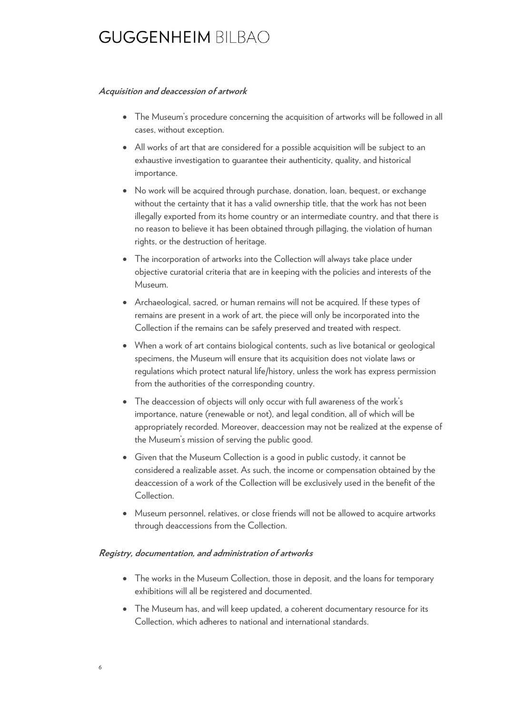#### **Acquisition and deaccession of artwork**

- The Museum's procedure concerning the acquisition of artworks will be followed in all cases, without exception.
- All works of art that are considered for a possible acquisition will be subject to an exhaustive investigation to guarantee their authenticity, quality, and historical importance.
- No work will be acquired through purchase, donation, loan, bequest, or exchange without the certainty that it has a valid ownership title, that the work has not been illegally exported from its home country or an intermediate country, and that there is no reason to believe it has been obtained through pillaging, the violation of human rights, or the destruction of heritage.
- The incorporation of artworks into the Collection will always take place under objective curatorial criteria that are in keeping with the policies and interests of the Museum.
- Archaeological, sacred, or human remains will not be acquired. If these types of remains are present in a work of art, the piece will only be incorporated into the Collection if the remains can be safely preserved and treated with respect.
- When a work of art contains biological contents, such as live botanical or geological specimens, the Museum will ensure that its acquisition does not violate laws or regulations which protect natural life/history, unless the work has express permission from the authorities of the corresponding country.
- The deaccession of objects will only occur with full awareness of the work's importance, nature (renewable or not), and legal condition, all of which will be appropriately recorded. Moreover, deaccession may not be realized at the expense of the Museum's mission of serving the public good.
- Given that the Museum Collection is a good in public custody, it cannot be considered a realizable asset. As such, the income or compensation obtained by the deaccession of a work of the Collection will be exclusively used in the benefit of the Collection.
- Museum personnel, relatives, or close friends will not be allowed to acquire artworks through deaccessions from the Collection.

#### **Registry, documentation, and administration of artworks**

- The works in the Museum Collection, those in deposit, and the loans for temporary exhibitions will all be registered and documented.
- The Museum has, and will keep updated, a coherent documentary resource for its Collection, which adheres to national and international standards.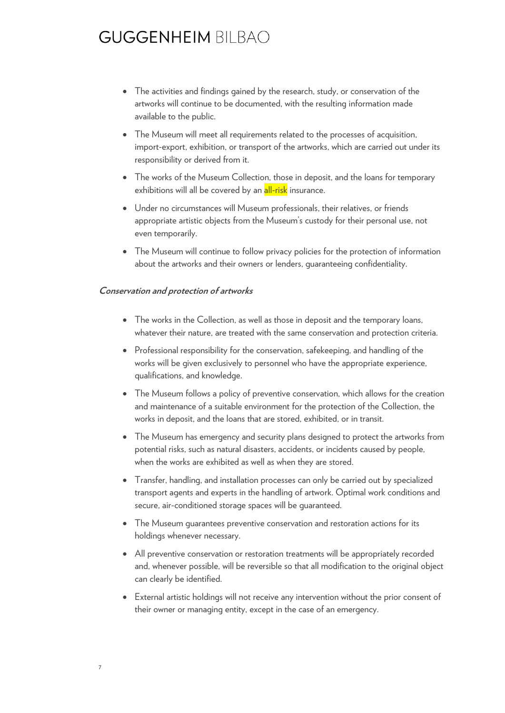- The activities and findings gained by the research, study, or conservation of the artworks will continue to be documented, with the resulting information made available to the public.
- The Museum will meet all requirements related to the processes of acquisition, import-export, exhibition, or transport of the artworks, which are carried out under its responsibility or derived from it.
- The works of the Museum Collection, those in deposit, and the loans for temporary exhibitions will all be covered by an all-risk insurance.
- Under no circumstances will Museum professionals, their relatives, or friends appropriate artistic objects from the Museum's custody for their personal use, not even temporarily.
- The Museum will continue to follow privacy policies for the protection of information about the artworks and their owners or lenders, guaranteeing confidentiality.

#### **Conservation and protection of artworks**

- The works in the Collection, as well as those in deposit and the temporary loans, whatever their nature, are treated with the same conservation and protection criteria.
- Professional responsibility for the conservation, safekeeping, and handling of the works will be given exclusively to personnel who have the appropriate experience, qualifications, and knowledge.
- The Museum follows a policy of preventive conservation, which allows for the creation and maintenance of a suitable environment for the protection of the Collection, the works in deposit, and the loans that are stored, exhibited, or in transit.
- The Museum has emergency and security plans designed to protect the artworks from potential risks, such as natural disasters, accidents, or incidents caused by people, when the works are exhibited as well as when they are stored.
- Transfer, handling, and installation processes can only be carried out by specialized transport agents and experts in the handling of artwork. Optimal work conditions and secure, air-conditioned storage spaces will be guaranteed.
- The Museum guarantees preventive conservation and restoration actions for its holdings whenever necessary.
- All preventive conservation or restoration treatments will be appropriately recorded and, whenever possible, will be reversible so that all modification to the original object can clearly be identified.
- External artistic holdings will not receive any intervention without the prior consent of their owner or managing entity, except in the case of an emergency.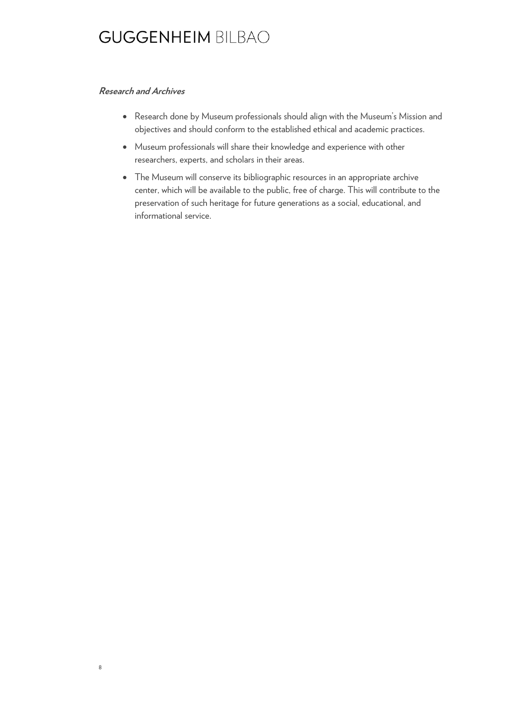#### **Research and Archives**

8

- Research done by Museum professionals should align with the Museum's Mission and objectives and should conform to the established ethical and academic practices.
- Museum professionals will share their knowledge and experience with other researchers, experts, and scholars in their areas.
- The Museum will conserve its bibliographic resources in an appropriate archive center, which will be available to the public, free of charge. This will contribute to the preservation of such heritage for future generations as a social, educational, and informational service.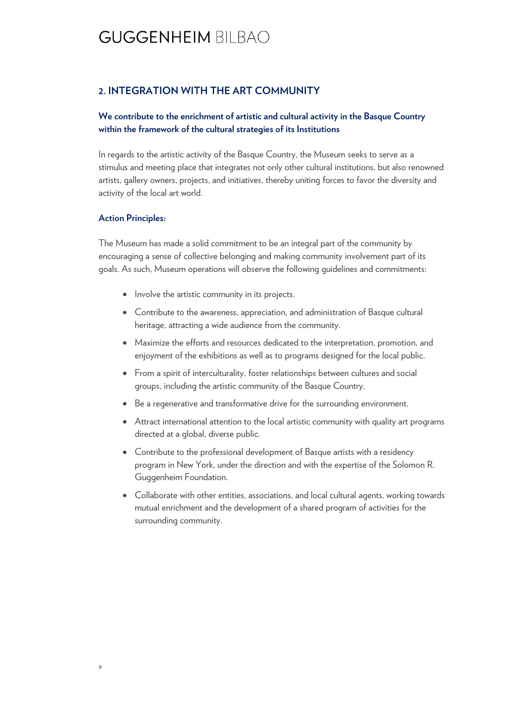### **2. INTEGRATION WITH THE ART COMMUNITY**

#### **We contribute to the enrichment of artistic and cultural activity in the Basque Country within the framework of the cultural strategies of its Institutions**

In regards to the artistic activity of the Basque Country, the Museum seeks to serve as a stimulus and meeting place that integrates not only other cultural institutions, but also renowned artists, gallery owners, projects, and initiatives, thereby uniting forces to favor the diversity and activity of the local art world.

#### **Action Principles:**

The Museum has made a solid commitment to be an integral part of the community by encouraging a sense of collective belonging and making community involvement part of its goals. As such, Museum operations will observe the following guidelines and commitments:

- Involve the artistic community in its projects.
- Contribute to the awareness, appreciation, and administration of Basque cultural heritage, attracting a wide audience from the community.
- Maximize the efforts and resources dedicated to the interpretation, promotion, and enjoyment of the exhibitions as well as to programs designed for the local public.
- From a spirit of interculturality, foster relationships between cultures and social groups, including the artistic community of the Basque Country.
- Be a regenerative and transformative drive for the surrounding environment.
- Attract international attention to the local artistic community with quality art programs directed at a global, diverse public.
- Contribute to the professional development of Basque artists with a residency program in New York, under the direction and with the expertise of the Solomon R. Guggenheim Foundation.
- Collaborate with other entities, associations, and local cultural agents, working towards mutual enrichment and the development of a shared program of activities for the surrounding community.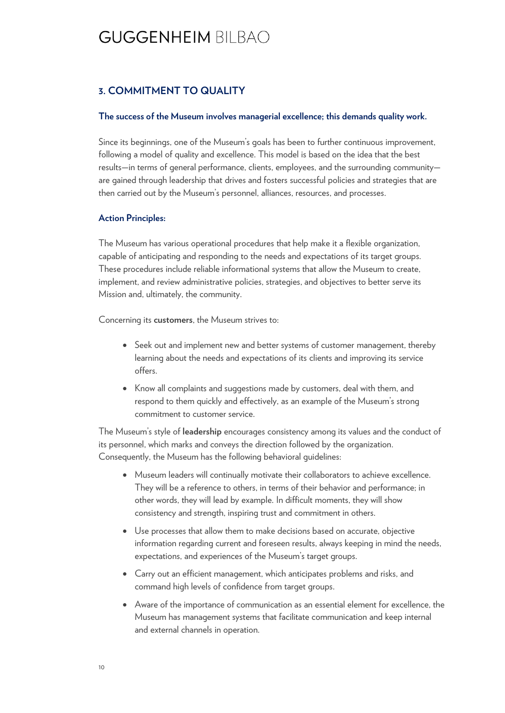### **3. COMMITMENT TO QUALITY**

#### **The success of the Museum involves managerial excellence; this demands quality work.**

Since its beginnings, one of the Museum's goals has been to further continuous improvement, following a model of quality and excellence. This model is based on the idea that the best results—in terms of general performance, clients, employees, and the surrounding community are gained through leadership that drives and fosters successful policies and strategies that are then carried out by the Museum's personnel, alliances, resources, and processes.

#### **Action Principles:**

The Museum has various operational procedures that help make it a flexible organization, capable of anticipating and responding to the needs and expectations of its target groups. These procedures include reliable informational systems that allow the Museum to create, implement, and review administrative policies, strategies, and objectives to better serve its Mission and, ultimately, the community.

Concerning its **customers**, the Museum strives to:

- Seek out and implement new and better systems of customer management, thereby learning about the needs and expectations of its clients and improving its service offers.
- Know all complaints and suggestions made by customers, deal with them, and respond to them quickly and effectively, as an example of the Museum's strong commitment to customer service.

The Museum's style of **leadership** encourages consistency among its values and the conduct of its personnel, which marks and conveys the direction followed by the organization. Consequently, the Museum has the following behavioral guidelines:

- Museum leaders will continually motivate their collaborators to achieve excellence. They will be a reference to others, in terms of their behavior and performance; in other words, they will lead by example. In difficult moments, they will show consistency and strength, inspiring trust and commitment in others.
- Use processes that allow them to make decisions based on accurate, objective information regarding current and foreseen results, always keeping in mind the needs, expectations, and experiences of the Museum's target groups.
- Carry out an efficient management, which anticipates problems and risks, and command high levels of confidence from target groups.
- Aware of the importance of communication as an essential element for excellence, the Museum has management systems that facilitate communication and keep internal and external channels in operation.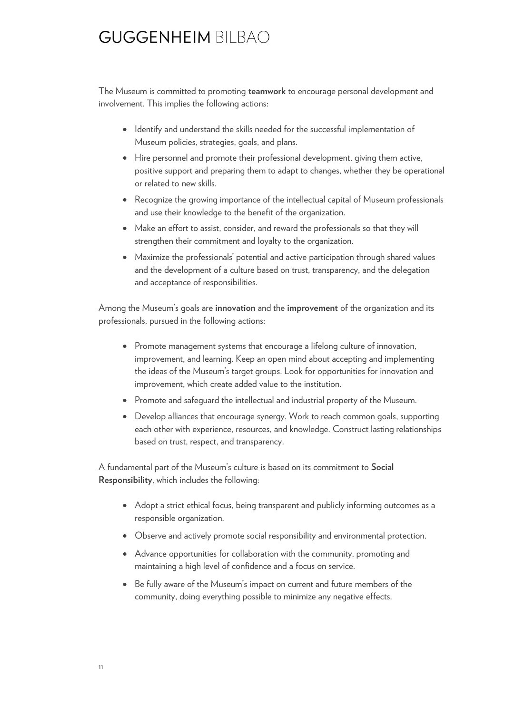The Museum is committed to promoting **teamwork** to encourage personal development and involvement. This implies the following actions:

- Identify and understand the skills needed for the successful implementation of Museum policies, strategies, goals, and plans.
- Hire personnel and promote their professional development, giving them active, positive support and preparing them to adapt to changes, whether they be operational or related to new skills.
- Recognize the growing importance of the intellectual capital of Museum professionals and use their knowledge to the benefit of the organization.
- Make an effort to assist, consider, and reward the professionals so that they will strengthen their commitment and loyalty to the organization.
- Maximize the professionals' potential and active participation through shared values and the development of a culture based on trust, transparency, and the delegation and acceptance of responsibilities.

Among the Museum's goals are **innovation** and the **improvement** of the organization and its professionals, pursued in the following actions:

- Promote management systems that encourage a lifelong culture of innovation, improvement, and learning. Keep an open mind about accepting and implementing the ideas of the Museum's target groups. Look for opportunities for innovation and improvement, which create added value to the institution.
- Promote and safeguard the intellectual and industrial property of the Museum.
- Develop alliances that encourage synergy. Work to reach common goals, supporting each other with experience, resources, and knowledge. Construct lasting relationships based on trust, respect, and transparency.

A fundamental part of the Museum's culture is based on its commitment to **Social Responsibility**, which includes the following:

- Adopt a strict ethical focus, being transparent and publicly informing outcomes as a responsible organization.
- Observe and actively promote social responsibility and environmental protection.
- Advance opportunities for collaboration with the community, promoting and maintaining a high level of confidence and a focus on service.
- Be fully aware of the Museum's impact on current and future members of the community, doing everything possible to minimize any negative effects.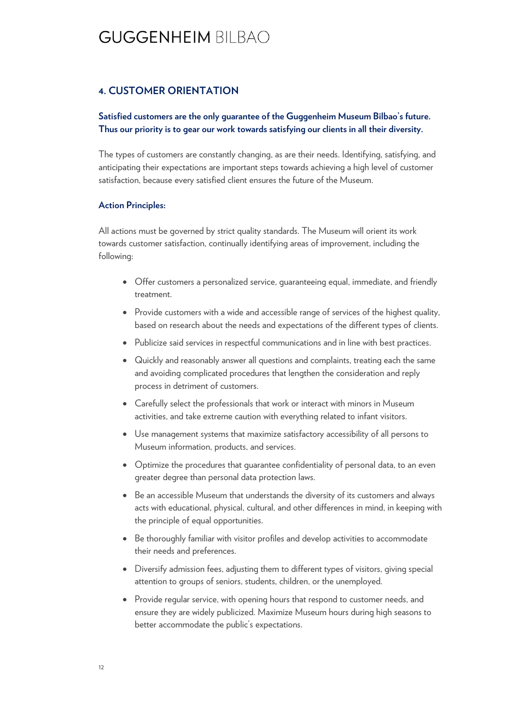### **4. CUSTOMER ORIENTATION**

#### **Satisfied customers are the only guarantee of the Guggenheim Museum Bilbao's future. Thus our priority is to gear our work towards satisfying our clients in all their diversity.**

The types of customers are constantly changing, as are their needs. Identifying, satisfying, and anticipating their expectations are important steps towards achieving a high level of customer satisfaction, because every satisfied client ensures the future of the Museum.

#### **Action Principles:**

All actions must be governed by strict quality standards. The Museum will orient its work towards customer satisfaction, continually identifying areas of improvement, including the following:

- Offer customers a personalized service, guaranteeing equal, immediate, and friendly treatment.
- Provide customers with a wide and accessible range of services of the highest quality, based on research about the needs and expectations of the different types of clients.
- Publicize said services in respectful communications and in line with best practices.
- Quickly and reasonably answer all questions and complaints, treating each the same and avoiding complicated procedures that lengthen the consideration and reply process in detriment of customers.
- Carefully select the professionals that work or interact with minors in Museum activities, and take extreme caution with everything related to infant visitors.
- Use management systems that maximize satisfactory accessibility of all persons to Museum information, products, and services.
- Optimize the procedures that guarantee confidentiality of personal data, to an even greater degree than personal data protection laws.
- Be an accessible Museum that understands the diversity of its customers and always acts with educational, physical, cultural, and other differences in mind, in keeping with the principle of equal opportunities.
- Be thoroughly familiar with visitor profiles and develop activities to accommodate their needs and preferences.
- Diversify admission fees, adjusting them to different types of visitors, giving special attention to groups of seniors, students, children, or the unemployed.
- Provide regular service, with opening hours that respond to customer needs, and ensure they are widely publicized. Maximize Museum hours during high seasons to better accommodate the public's expectations.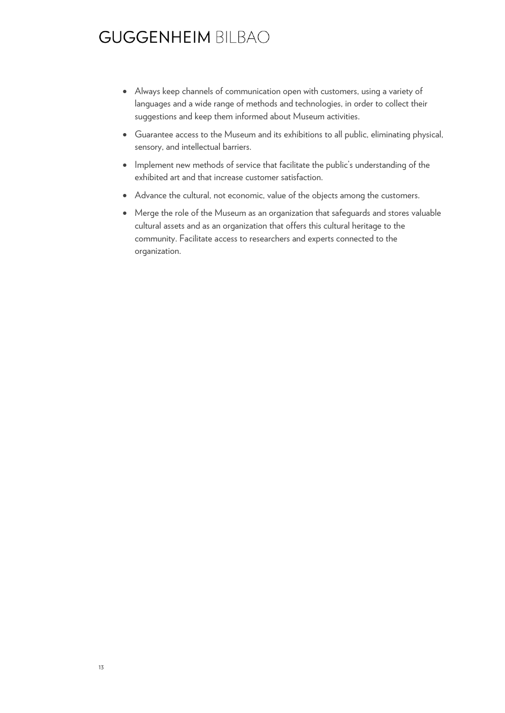- Always keep channels of communication open with customers, using a variety of languages and a wide range of methods and technologies, in order to collect their suggestions and keep them informed about Museum activities.
- Guarantee access to the Museum and its exhibitions to all public, eliminating physical, sensory, and intellectual barriers.
- Implement new methods of service that facilitate the public's understanding of the exhibited art and that increase customer satisfaction.
- Advance the cultural, not economic, value of the objects among the customers.
- Merge the role of the Museum as an organization that safeguards and stores valuable cultural assets and as an organization that offers this cultural heritage to the community. Facilitate access to researchers and experts connected to the organization.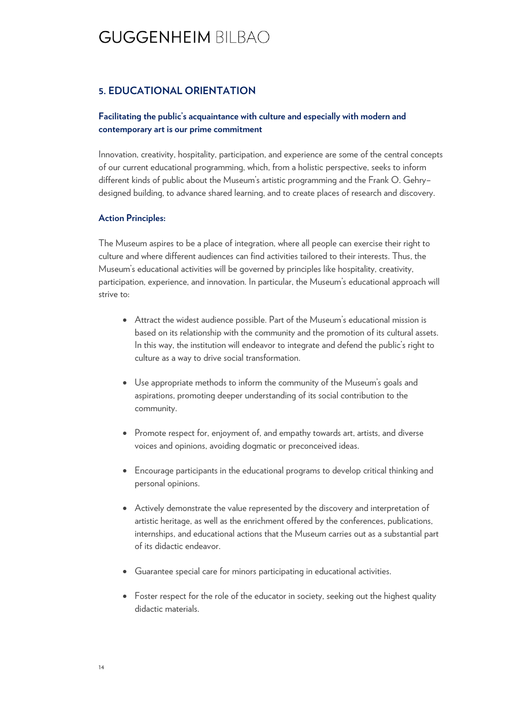### **5. EDUCATIONAL ORIENTATION**

### **Facilitating the public's acquaintance with culture and especially with modern and contemporary art is our prime commitment**

Innovation, creativity, hospitality, participation, and experience are some of the central concepts of our current educational programming, which, from a holistic perspective, seeks to inform different kinds of public about the Museum's artistic programming and the Frank O. Gehry– designed building, to advance shared learning, and to create places of research and discovery.

#### **Action Principles:**

The Museum aspires to be a place of integration, where all people can exercise their right to culture and where different audiences can find activities tailored to their interests. Thus, the Museum's educational activities will be governed by principles like hospitality, creativity, participation, experience, and innovation. In particular, the Museum's educational approach will strive to:

- Attract the widest audience possible. Part of the Museum's educational mission is based on its relationship with the community and the promotion of its cultural assets. In this way, the institution will endeavor to integrate and defend the public's right to culture as a way to drive social transformation.
- Use appropriate methods to inform the community of the Museum's goals and aspirations, promoting deeper understanding of its social contribution to the community.
- Promote respect for, enjoyment of, and empathy towards art, artists, and diverse voices and opinions, avoiding dogmatic or preconceived ideas.
- Encourage participants in the educational programs to develop critical thinking and personal opinions.
- Actively demonstrate the value represented by the discovery and interpretation of artistic heritage, as well as the enrichment offered by the conferences, publications, internships, and educational actions that the Museum carries out as a substantial part of its didactic endeavor.
- Guarantee special care for minors participating in educational activities.
- Foster respect for the role of the educator in society, seeking out the highest quality didactic materials.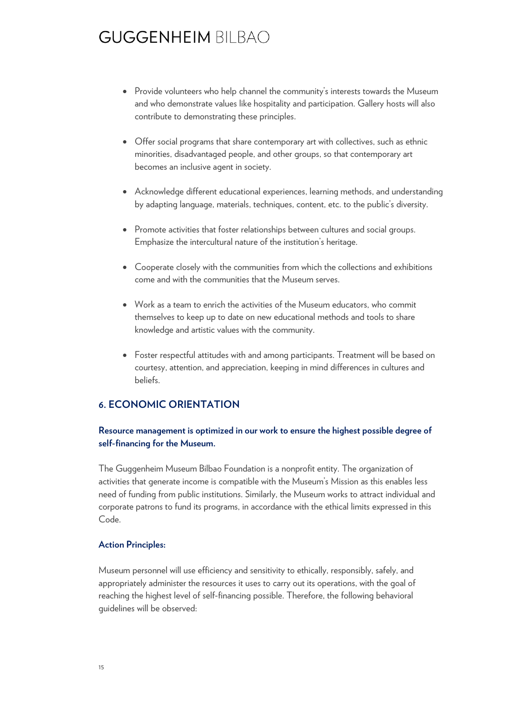- Provide volunteers who help channel the community's interests towards the Museum and who demonstrate values like hospitality and participation. Gallery hosts will also contribute to demonstrating these principles.
- Offer social programs that share contemporary art with collectives, such as ethnic minorities, disadvantaged people, and other groups, so that contemporary art becomes an inclusive agent in society.
- Acknowledge different educational experiences, learning methods, and understanding by adapting language, materials, techniques, content, etc. to the public's diversity.
- Promote activities that foster relationships between cultures and social groups. Emphasize the intercultural nature of the institution's heritage.
- Cooperate closely with the communities from which the collections and exhibitions come and with the communities that the Museum serves.
- Work as a team to enrich the activities of the Museum educators, who commit themselves to keep up to date on new educational methods and tools to share knowledge and artistic values with the community.
- Foster respectful attitudes with and among participants. Treatment will be based on courtesy, attention, and appreciation, keeping in mind differences in cultures and beliefs.

### **6. ECONOMIC ORIENTATION**

### **Resource management is optimized in our work to ensure the highest possible degree of self-financing for the Museum.**

The Guggenheim Museum Bilbao Foundation is a nonprofit entity. The organization of activities that generate income is compatible with the Museum's Mission as this enables less need of funding from public institutions. Similarly, the Museum works to attract individual and corporate patrons to fund its programs, in accordance with the ethical limits expressed in this Code.

#### **Action Principles:**

Museum personnel will use efficiency and sensitivity to ethically, responsibly, safely, and appropriately administer the resources it uses to carry out its operations, with the goal of reaching the highest level of self-financing possible. Therefore, the following behavioral guidelines will be observed: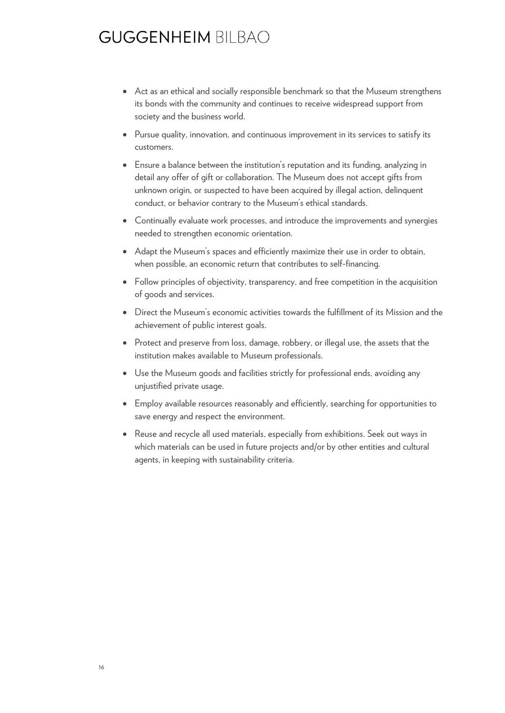- Act as an ethical and socially responsible benchmark so that the Museum strengthens its bonds with the community and continues to receive widespread support from society and the business world.
- Pursue quality, innovation, and continuous improvement in its services to satisfy its customers.
- Ensure a balance between the institution's reputation and its funding, analyzing in detail any offer of gift or collaboration. The Museum does not accept gifts from unknown origin, or suspected to have been acquired by illegal action, delinquent conduct, or behavior contrary to the Museum's ethical standards.
- Continually evaluate work processes, and introduce the improvements and synergies needed to strengthen economic orientation.
- Adapt the Museum's spaces and efficiently maximize their use in order to obtain, when possible, an economic return that contributes to self-financing.
- Follow principles of objectivity, transparency, and free competition in the acquisition of goods and services.
- Direct the Museum's economic activities towards the fulfillment of its Mission and the achievement of public interest goals.
- Protect and preserve from loss, damage, robbery, or illegal use, the assets that the institution makes available to Museum professionals.
- Use the Museum goods and facilities strictly for professional ends, avoiding any unjustified private usage.
- Employ available resources reasonably and efficiently, searching for opportunities to save energy and respect the environment.
- Reuse and recycle all used materials, especially from exhibitions. Seek out ways in which materials can be used in future projects and/or by other entities and cultural agents, in keeping with sustainability criteria.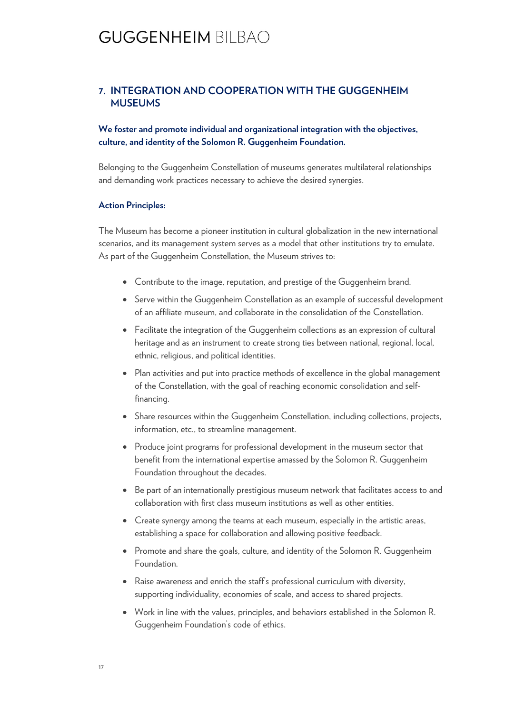### **7. INTEGRATION AND COOPERATION WITH THE GUGGENHEIM MUSEUMS**

**We foster and promote individual and organizational integration with the objectives, culture, and identity of the Solomon R. Guggenheim Foundation.**

Belonging to the Guggenheim Constellation of museums generates multilateral relationships and demanding work practices necessary to achieve the desired synergies.

#### **Action Principles:**

The Museum has become a pioneer institution in cultural globalization in the new international scenarios, and its management system serves as a model that other institutions try to emulate. As part of the Guggenheim Constellation, the Museum strives to:

- Contribute to the image, reputation, and prestige of the Guggenheim brand.
- Serve within the Guggenheim Constellation as an example of successful development of an affiliate museum, and collaborate in the consolidation of the Constellation.
- Facilitate the integration of the Guggenheim collections as an expression of cultural heritage and as an instrument to create strong ties between national, regional, local, ethnic, religious, and political identities.
- Plan activities and put into practice methods of excellence in the global management of the Constellation, with the goal of reaching economic consolidation and selffinancing.
- Share resources within the Guggenheim Constellation, including collections, projects, information, etc., to streamline management.
- Produce joint programs for professional development in the museum sector that benefit from the international expertise amassed by the Solomon R. Guggenheim Foundation throughout the decades.
- Be part of an internationally prestigious museum network that facilitates access to and collaboration with first class museum institutions as well as other entities.
- Create synergy among the teams at each museum, especially in the artistic areas, establishing a space for collaboration and allowing positive feedback.
- Promote and share the goals, culture, and identity of the Solomon R. Guggenheim **Foundation**
- Raise awareness and enrich the staff's professional curriculum with diversity, supporting individuality, economies of scale, and access to shared projects.
- Work in line with the values, principles, and behaviors established in the Solomon R. Guggenheim Foundation's code of ethics.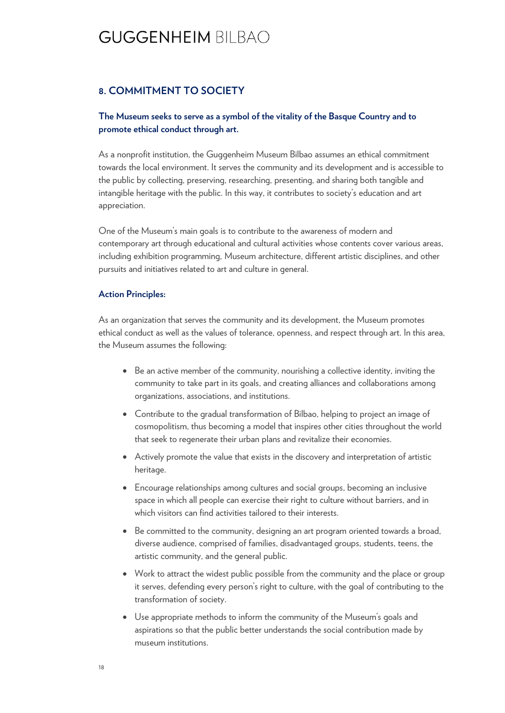### **8. COMMITMENT TO SOCIETY**

### **The Museum seeks to serve as a symbol of the vitality of the Basque Country and to promote ethical conduct through art.**

As a nonprofit institution, the Guggenheim Museum Bilbao assumes an ethical commitment towards the local environment. It serves the community and its development and is accessible to the public by collecting, preserving, researching, presenting, and sharing both tangible and intangible heritage with the public. In this way, it contributes to society's education and art appreciation.

One of the Museum's main goals is to contribute to the awareness of modern and contemporary art through educational and cultural activities whose contents cover various areas, including exhibition programming, Museum architecture, different artistic disciplines, and other pursuits and initiatives related to art and culture in general.

#### **Action Principles:**

As an organization that serves the community and its development, the Museum promotes ethical conduct as well as the values of tolerance, openness, and respect through art. In this area, the Museum assumes the following:

- Be an active member of the community, nourishing a collective identity, inviting the community to take part in its goals, and creating alliances and collaborations among organizations, associations, and institutions.
- Contribute to the gradual transformation of Bilbao, helping to project an image of cosmopolitism, thus becoming a model that inspires other cities throughout the world that seek to regenerate their urban plans and revitalize their economies.
- Actively promote the value that exists in the discovery and interpretation of artistic heritage.
- Encourage relationships among cultures and social groups, becoming an inclusive space in which all people can exercise their right to culture without barriers, and in which visitors can find activities tailored to their interests.
- Be committed to the community, designing an art program oriented towards a broad, diverse audience, comprised of families, disadvantaged groups, students, teens, the artistic community, and the general public.
- Work to attract the widest public possible from the community and the place or group it serves, defending every person's right to culture, with the goal of contributing to the transformation of society.
- Use appropriate methods to inform the community of the Museum's goals and aspirations so that the public better understands the social contribution made by museum institutions.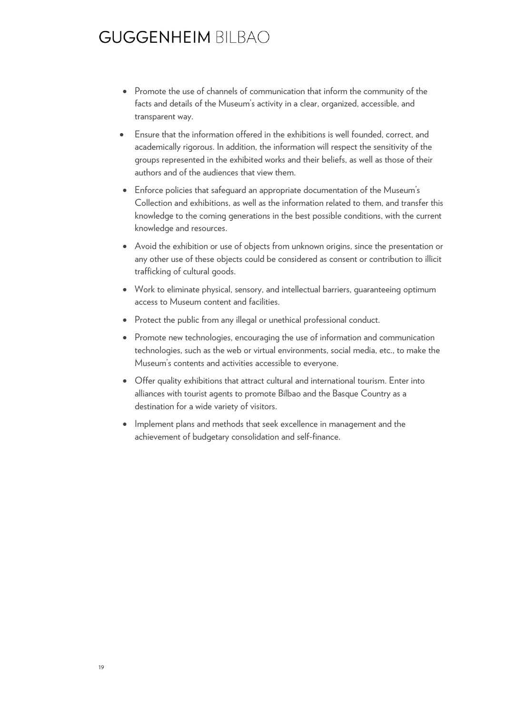- Promote the use of channels of communication that inform the community of the facts and details of the Museum's activity in a clear, organized, accessible, and transparent way.
- Ensure that the information offered in the exhibitions is well founded, correct, and academically rigorous. In addition, the information will respect the sensitivity of the groups represented in the exhibited works and their beliefs, as well as those of their authors and of the audiences that view them.
- Enforce policies that safeguard an appropriate documentation of the Museum's Collection and exhibitions, as well as the information related to them, and transfer this knowledge to the coming generations in the best possible conditions, with the current knowledge and resources.
- Avoid the exhibition or use of objects from unknown origins, since the presentation or any other use of these objects could be considered as consent or contribution to illicit trafficking of cultural goods.
- Work to eliminate physical, sensory, and intellectual barriers, guaranteeing optimum access to Museum content and facilities.
- Protect the public from any illegal or unethical professional conduct.
- Promote new technologies, encouraging the use of information and communication technologies, such as the web or virtual environments, social media, etc., to make the Museum's contents and activities accessible to everyone.
- Offer quality exhibitions that attract cultural and international tourism. Enter into alliances with tourist agents to promote Bilbao and the Basque Country as a destination for a wide variety of visitors.
- Implement plans and methods that seek excellence in management and the achievement of budgetary consolidation and self-finance.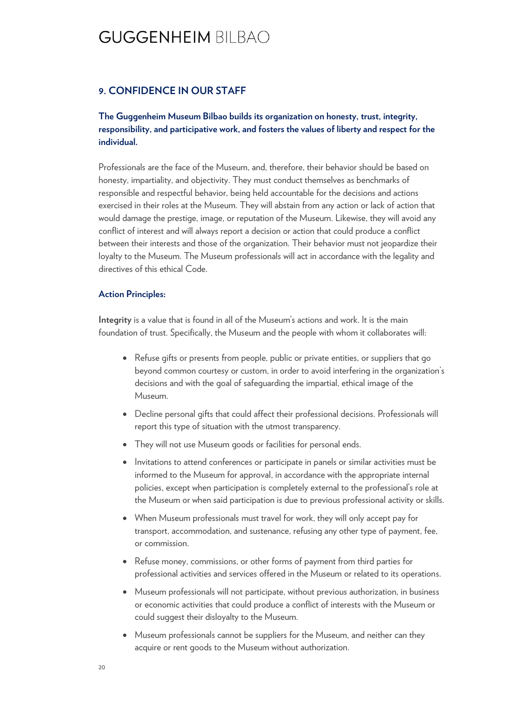#### **9. CONFIDENCE IN OUR STAFF**

### **The Guggenheim Museum Bilbao builds its organization on honesty, trust, integrity, responsibility, and participative work, and fosters the values of liberty and respect for the individual.**

Professionals are the face of the Museum, and, therefore, their behavior should be based on honesty, impartiality, and objectivity. They must conduct themselves as benchmarks of responsible and respectful behavior, being held accountable for the decisions and actions exercised in their roles at the Museum. They will abstain from any action or lack of action that would damage the prestige, image, or reputation of the Museum. Likewise, they will avoid any conflict of interest and will always report a decision or action that could produce a conflict between their interests and those of the organization. Their behavior must not jeopardize their loyalty to the Museum. The Museum professionals will act in accordance with the legality and directives of this ethical Code.

#### **Action Principles:**

**Integrity** is a value that is found in all of the Museum's actions and work. It is the main foundation of trust. Specifically, the Museum and the people with whom it collaborates will:

- Refuse gifts or presents from people, public or private entities, or suppliers that go beyond common courtesy or custom, in order to avoid interfering in the organization's decisions and with the goal of safeguarding the impartial, ethical image of the Museum.
- Decline personal gifts that could affect their professional decisions. Professionals will report this type of situation with the utmost transparency.
- They will not use Museum goods or facilities for personal ends.
- Invitations to attend conferences or participate in panels or similar activities must be informed to the Museum for approval, in accordance with the appropriate internal policies, except when participation is completely external to the professional's role at the Museum or when said participation is due to previous professional activity or skills.
- When Museum professionals must travel for work, they will only accept pay for transport, accommodation, and sustenance, refusing any other type of payment, fee, or commission.
- Refuse money, commissions, or other forms of payment from third parties for professional activities and services offered in the Museum or related to its operations.
- Museum professionals will not participate, without previous authorization, in business or economic activities that could produce a conflict of interests with the Museum or could suggest their disloyalty to the Museum.
- Museum professionals cannot be suppliers for the Museum, and neither can they acquire or rent goods to the Museum without authorization.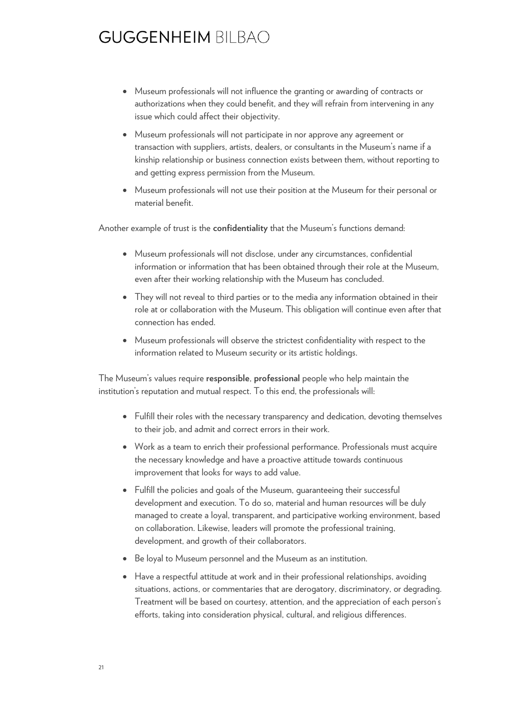- Museum professionals will not influence the granting or awarding of contracts or authorizations when they could benefit, and they will refrain from intervening in any issue which could affect their objectivity.
- Museum professionals will not participate in nor approve any agreement or transaction with suppliers, artists, dealers, or consultants in the Museum's name if a kinship relationship or business connection exists between them, without reporting to and getting express permission from the Museum.
- Museum professionals will not use their position at the Museum for their personal or material benefit.

Another example of trust is the **confidentiality** that the Museum's functions demand:

- Museum professionals will not disclose, under any circumstances, confidential information or information that has been obtained through their role at the Museum, even after their working relationship with the Museum has concluded.
- They will not reveal to third parties or to the media any information obtained in their role at or collaboration with the Museum. This obligation will continue even after that connection has ended.
- Museum professionals will observe the strictest confidentiality with respect to the information related to Museum security or its artistic holdings.

The Museum's values require **responsible**, **professional** people who help maintain the institution's reputation and mutual respect. To this end, the professionals will:

- Fulfill their roles with the necessary transparency and dedication, devoting themselves to their job, and admit and correct errors in their work.
- Work as a team to enrich their professional performance. Professionals must acquire the necessary knowledge and have a proactive attitude towards continuous improvement that looks for ways to add value.
- Fulfill the policies and goals of the Museum, guaranteeing their successful development and execution. To do so, material and human resources will be duly managed to create a loyal, transparent, and participative working environment, based on collaboration. Likewise, leaders will promote the professional training, development, and growth of their collaborators.
- Be loyal to Museum personnel and the Museum as an institution.
- Have a respectful attitude at work and in their professional relationships, avoiding situations, actions, or commentaries that are derogatory, discriminatory, or degrading. Treatment will be based on courtesy, attention, and the appreciation of each person's efforts, taking into consideration physical, cultural, and religious differences.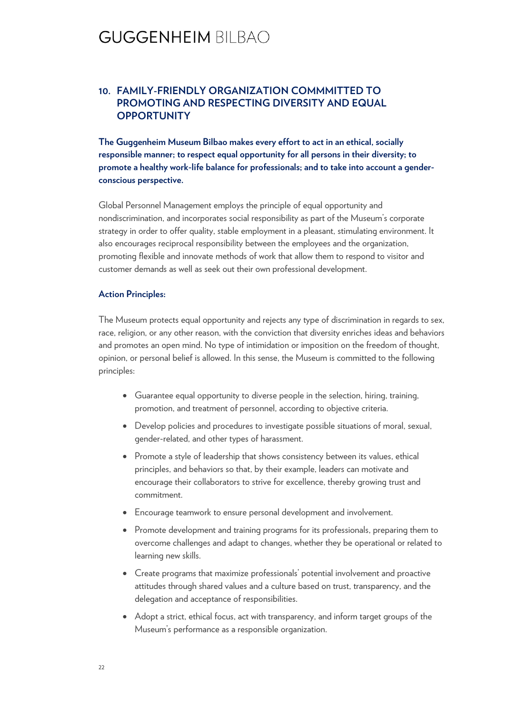### **10. FAMILY-FRIENDLY ORGANIZATION COMMMITTED TO PROMOTING AND RESPECTING DIVERSITY AND EQUAL OPPORTUNITY**

**The Guggenheim Museum Bilbao makes every effort to act in an ethical, socially responsible manner; to respect equal opportunity for all persons in their diversity; to promote a healthy work-life balance for professionals; and to take into account a genderconscious perspective.**

Global Personnel Management employs the principle of equal opportunity and nondiscrimination, and incorporates social responsibility as part of the Museum's corporate strategy in order to offer quality, stable employment in a pleasant, stimulating environment. It also encourages reciprocal responsibility between the employees and the organization, promoting flexible and innovate methods of work that allow them to respond to visitor and customer demands as well as seek out their own professional development.

#### **Action Principles:**

The Museum protects equal opportunity and rejects any type of discrimination in regards to sex, race, religion, or any other reason, with the conviction that diversity enriches ideas and behaviors and promotes an open mind. No type of intimidation or imposition on the freedom of thought, opinion, or personal belief is allowed. In this sense, the Museum is committed to the following principles:

- Guarantee equal opportunity to diverse people in the selection, hiring, training, promotion, and treatment of personnel, according to objective criteria.
- Develop policies and procedures to investigate possible situations of moral, sexual, gender-related, and other types of harassment.
- Promote a style of leadership that shows consistency between its values, ethical principles, and behaviors so that, by their example, leaders can motivate and encourage their collaborators to strive for excellence, thereby growing trust and commitment.
- Encourage teamwork to ensure personal development and involvement.
- Promote development and training programs for its professionals, preparing them to overcome challenges and adapt to changes, whether they be operational or related to learning new skills.
- Create programs that maximize professionals' potential involvement and proactive attitudes through shared values and a culture based on trust, transparency, and the delegation and acceptance of responsibilities.
- Adopt a strict, ethical focus, act with transparency, and inform target groups of the Museum's performance as a responsible organization.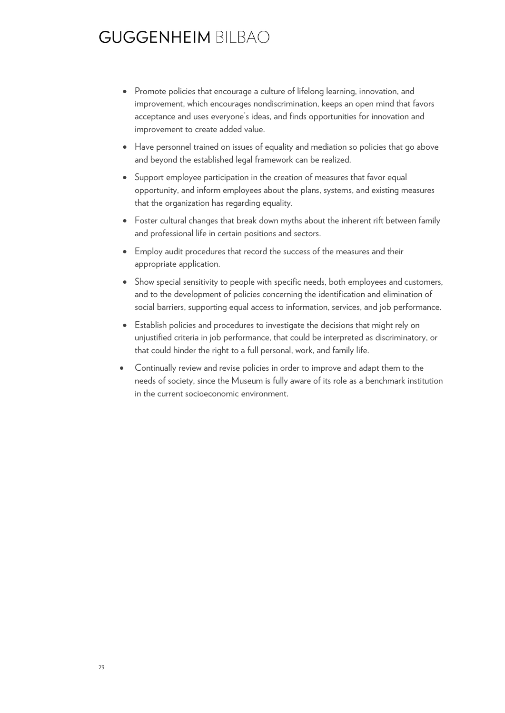- Promote policies that encourage a culture of lifelong learning, innovation, and improvement, which encourages nondiscrimination, keeps an open mind that favors acceptance and uses everyone's ideas, and finds opportunities for innovation and improvement to create added value.
- Have personnel trained on issues of equality and mediation so policies that go above and beyond the established legal framework can be realized.
- Support employee participation in the creation of measures that favor equal opportunity, and inform employees about the plans, systems, and existing measures that the organization has regarding equality.
- Foster cultural changes that break down myths about the inherent rift between family and professional life in certain positions and sectors.
- Employ audit procedures that record the success of the measures and their appropriate application.
- Show special sensitivity to people with specific needs, both employees and customers, and to the development of policies concerning the identification and elimination of social barriers, supporting equal access to information, services, and job performance.
- Establish policies and procedures to investigate the decisions that might rely on unjustified criteria in job performance, that could be interpreted as discriminatory, or that could hinder the right to a full personal, work, and family life.
- Continually review and revise policies in order to improve and adapt them to the needs of society, since the Museum is fully aware of its role as a benchmark institution in the current socioeconomic environment.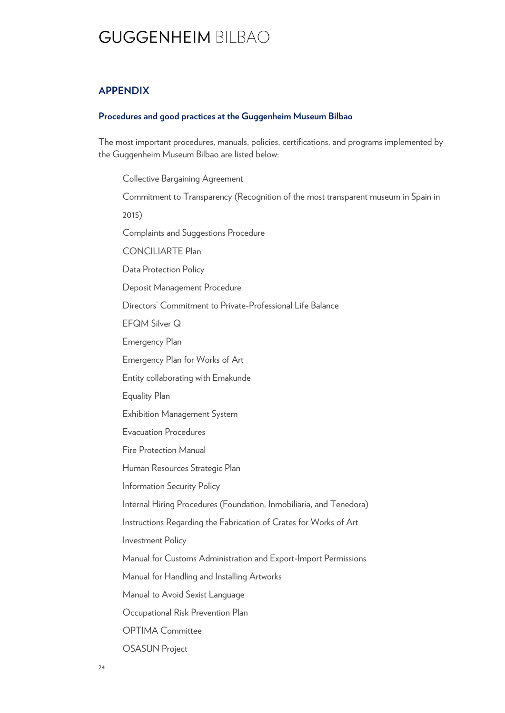### **APPENDIX**

#### **Procedures and good practices at the Guggenheim Museum Bilbao**

The most important procedures, manuals, policies, certifications, and programs implemented by the Guggenheim Museum Bilbao are listed below:

Collective Bargaining Agreement Commitment to Transparency (Recognition of the most transparent museum in Spain in 2015) Complaints and Suggestions Procedure CONCILIARTE Plan Data Protection Policy Deposit Management Procedure Directors' Commitment to Private-Professional Life Balance EFQM Silver Q Emergency Plan Emergency Plan for Works of Art Entity collaborating with Emakunde Equality Plan Exhibition Management System Evacuation Procedures Fire Protection Manual Human Resources Strategic Plan Information Security Policy Internal Hiring Procedures (Foundation, Inmobiliaria, and Tenedora) Instructions Regarding the Fabrication of Crates for Works of Art Investment Policy Manual for Customs Administration and Export-Import Permissions Manual for Handling and Installing Artworks Manual to Avoid Sexist Language Occupational Risk Prevention Plan OPTIMA Committee

OSASUN Project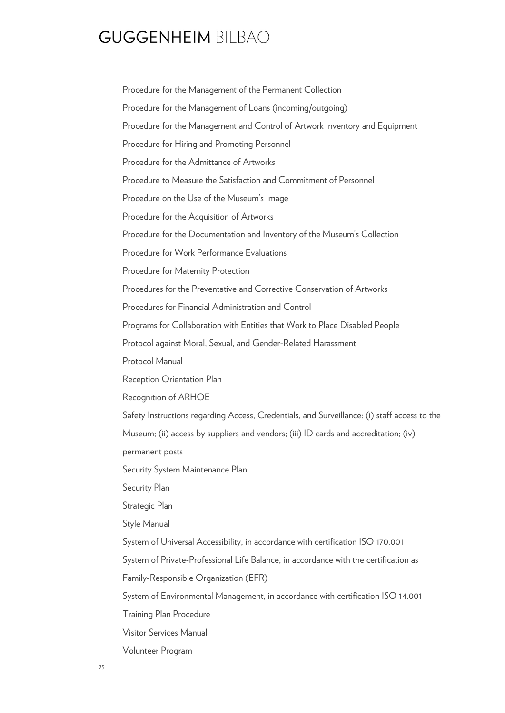Procedure for the Management of the Permanent Collection Procedure for the Management of Loans (incoming/outgoing) Procedure for the Management and Control of Artwork Inventory and Equipment Procedure for Hiring and Promoting Personnel Procedure for the Admittance of Artworks Procedure to Measure the Satisfaction and Commitment of Personnel Procedure on the Use of the Museum's Image Procedure for the Acquisition of Artworks Procedure for the Documentation and Inventory of the Museum's Collection Procedure for Work Performance Evaluations Procedure for Maternity Protection Procedures for the Preventative and Corrective Conservation of Artworks Procedures for Financial Administration and Control Programs for Collaboration with Entities that Work to Place Disabled People Protocol against Moral, Sexual, and Gender-Related Harassment Protocol Manual Reception Orientation Plan Recognition of ARHOE Safety Instructions regarding Access, Credentials, and Surveillance: (i) staff access to the Museum; (ii) access by suppliers and vendors; (iii) ID cards and accreditation; (iv) permanent posts Security System Maintenance Plan Security Plan Strategic Plan Style Manual System of Universal Accessibility, in accordance with certification ISO 170.001 System of Private-Professional Life Balance, in accordance with the certification as Family-Responsible Organization (EFR) System of Environmental Management, in accordance with certification ISO 14.001 Training Plan Procedure Visitor Services Manual Volunteer Program